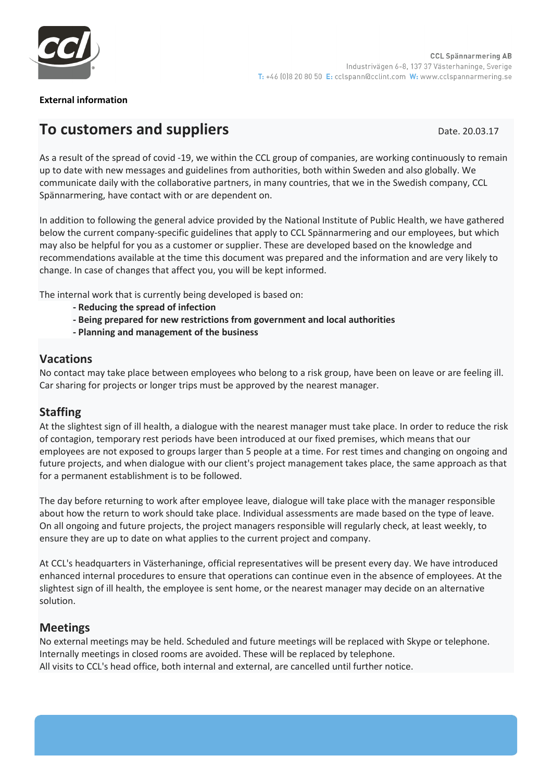

#### **External information**

# **To customers and suppliers Date. 20.03.17** Date. 20.03.17

As a result of the spread of covid -19, we within the CCL group of companies, are working continuously to remain up to date with new messages and guidelines from authorities, both within Sweden and also globally. We communicate daily with the collaborative partners, in many countries, that we in the Swedish company, CCL Spännarmering, have contact with or are dependent on.

In addition to following the general advice provided by the National Institute of Public Health, we have gathered below the current company-specific guidelines that apply to CCL Spännarmering and our employees, but which may also be helpful for you as a customer or supplier. These are developed based on the knowledge and recommendations available at the time this document was prepared and the information and are very likely to change. In case of changes that affect you, you will be kept informed.

The internal work that is currently being developed is based on:

- **- Reducing the spread of infection**
- **- Being prepared for new restrictions from government and local authorities**
- **- Planning and management of the business**

#### **Vacations**

No contact may take place between employees who belong to a risk group, have been on leave or are feeling ill. Car sharing for projects or longer trips must be approved by the nearest manager.

# **Staffing**

At the slightest sign of ill health, a dialogue with the nearest manager must take place. In order to reduce the risk of contagion, temporary rest periods have been introduced at our fixed premises, which means that our employees are not exposed to groups larger than 5 people at a time. For rest times and changing on ongoing and future projects, and when dialogue with our client's project management takes place, the same approach as that for a permanent establishment is to be followed.

The day before returning to work after employee leave, dialogue will take place with the manager responsible about how the return to work should take place. Individual assessments are made based on the type of leave. On all ongoing and future projects, the project managers responsible will regularly check, at least weekly, to ensure they are up to date on what applies to the current project and company.

At CCL's headquarters in Västerhaninge, official representatives will be present every day. We have introduced enhanced internal procedures to ensure that operations can continue even in the absence of employees. At the slightest sign of ill health, the employee is sent home, or the nearest manager may decide on an alternative solution.

# **Meetings**

No external meetings may be held. Scheduled and future meetings will be replaced with Skype or telephone. Internally meetings in closed rooms are avoided. These will be replaced by telephone. All visits to CCL's head office, both internal and external, are cancelled until further notice.